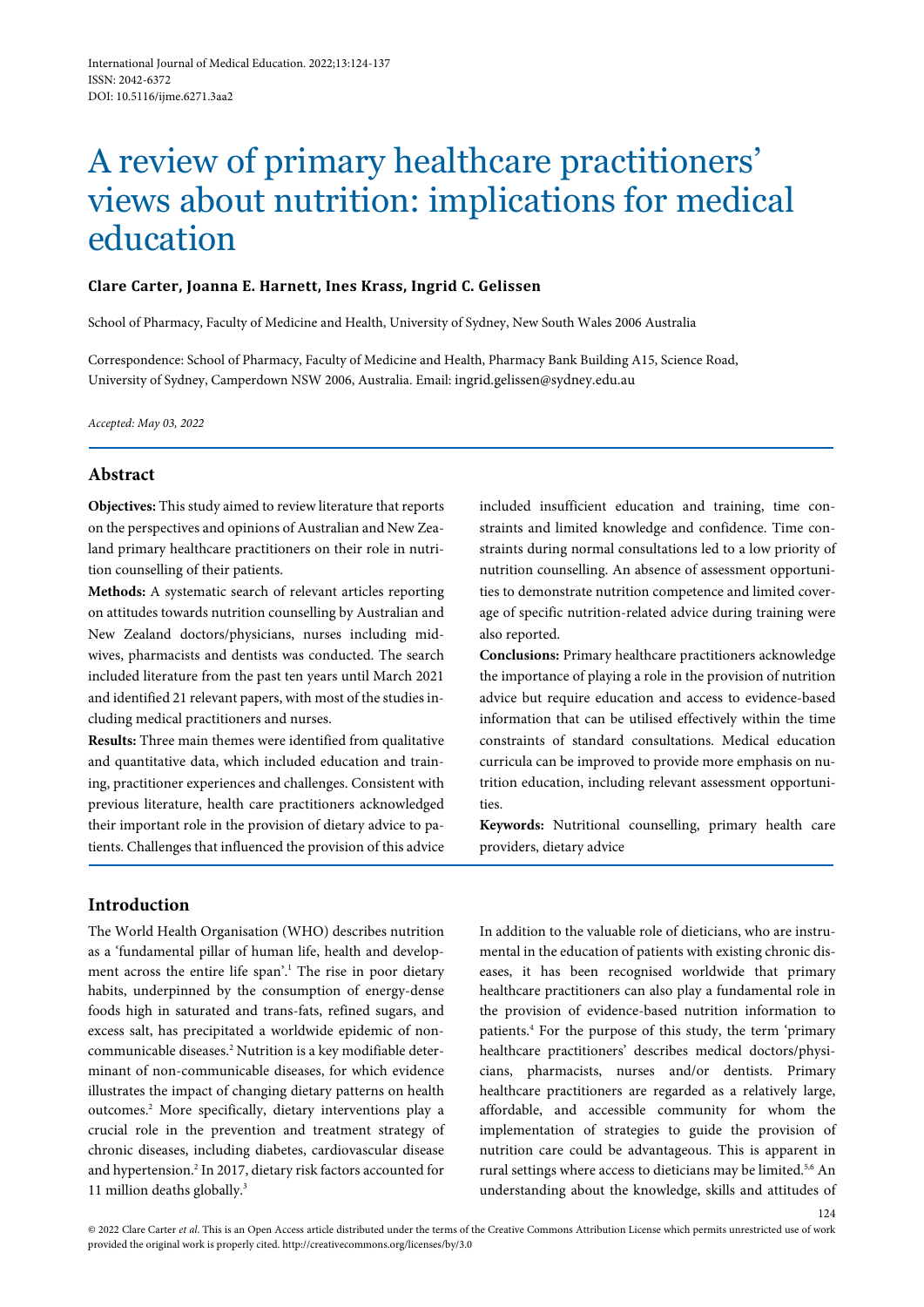# A review of primary healthcare practitioners' views about nutrition: implications for medical education

# **Clare Carter, Joanna E. Harnett, Ines Krass, Ingrid C. Gelissen**

School of Pharmacy, Faculty of Medicine and Health, University of Sydney, New South Wales 2006 Australia

Correspondence: School of Pharmacy, Faculty of Medicine and Health, Pharmacy Bank Building A15, Science Road, University of Sydney, Camperdown NSW 2006, Australia. Email: ingrid.gelissen@sydney.edu.au

*Accepted: May 03, 2022*

# **Abstract**

**Objectives:** This study aimed to review literature that reports on the perspectives and opinions of Australian and New Zealand primary healthcare practitioners on their role in nutrition counselling of their patients.

**Methods:** A systematic search of relevant articles reporting on attitudes towards nutrition counselling by Australian and New Zealand doctors/physicians, nurses including midwives, pharmacists and dentists was conducted. The search included literature from the past ten years until March 2021 and identified 21 relevant papers, with most of the studies including medical practitioners and nurses.

**Results:** Three main themes were identified from qualitative and quantitative data, which included education and training, practitioner experiences and challenges. Consistent with previous literature, health care practitioners acknowledged their important role in the provision of dietary advice to patients. Challenges that influenced the provision of this advice

included insufficient education and training, time constraints and limited knowledge and confidence. Time constraints during normal consultations led to a low priority of nutrition counselling. An absence of assessment opportunities to demonstrate nutrition competence and limited coverage of specific nutrition-related advice during training were also reported.

**Conclusions:** Primary healthcare practitioners acknowledge the importance of playing a role in the provision of nutrition advice but require education and access to evidence-based information that can be utilised effectively within the time constraints of standard consultations. Medical education curricula can be improved to provide more emphasis on nutrition education, including relevant assessment opportunities.

**Keywords:** Nutritional counselling, primary health care providers, dietary advice

# **Introduction**

The World Health Organisation (WHO) describes nutrition as a 'fundamental pillar of human life, health and development across the entire life span'.<sup>1</sup> The rise in poor dietary habits, underpinned by the consumption of energy-dense foods high in saturated and trans-fats, refined sugars, and excess salt, has precipitated a worldwide epidemic of noncommunicable diseases.2 Nutrition is a key modifiable determinant of non-communicable diseases, for which evidence illustrates the impact of changing dietary patterns on health outcomes.2 More specifically, dietary interventions play a crucial role in the prevention and treatment strategy of chronic diseases, including diabetes, cardiovascular disease and hypertension.2 In 2017, dietary risk factors accounted for 11 million deaths globally.<sup>3</sup>

In addition to the valuable role of dieticians, who are instrumental in the education of patients with existing chronic diseases, it has been recognised worldwide that primary healthcare practitioners can also play a fundamental role in the provision of evidence-based nutrition information to patients.4 For the purpose of this study, the term 'primary healthcare practitioners' describes medical doctors/physicians, pharmacists, nurses and/or dentists. Primary healthcare practitioners are regarded as a relatively large, affordable, and accessible community for whom the implementation of strategies to guide the provision of nutrition care could be advantageous. This is apparent in rural settings where access to dieticians may be limited.<sup>5,6</sup> An understanding about the knowledge, skills and attitudes of

124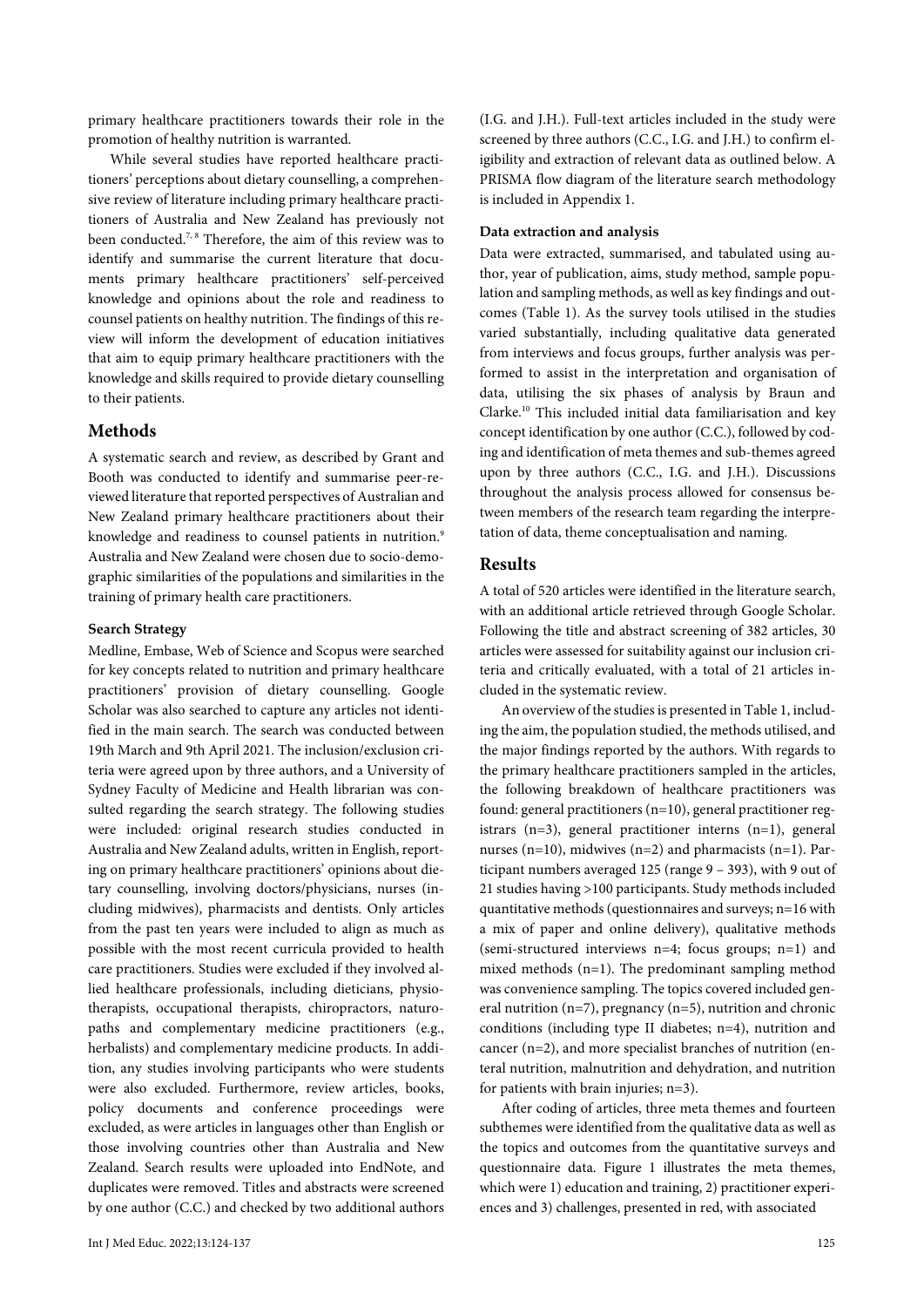primary healthcare practitioners towards their role in the promotion of healthy nutrition is warranted.

While several studies have reported healthcare practitioners' perceptions about dietary counselling, a comprehensive review of literature including primary healthcare practitioners of Australia and New Zealand has previously not been conducted.<sup>7, 8</sup> Therefore, the aim of this review was to identify and summarise the current literature that documents primary healthcare practitioners' self-perceived knowledge and opinions about the role and readiness to counsel patients on healthy nutrition. The findings of this review will inform the development of education initiatives that aim to equip primary healthcare practitioners with the knowledge and skills required to provide dietary counselling to their patients.

## **Methods**

A systematic search and review, as described by Grant and Booth was conducted to identify and summarise peer-reviewed literature that reported perspectives of Australian and New Zealand primary healthcare practitioners about their knowledge and readiness to counsel patients in nutrition.<sup>9</sup> Australia and New Zealand were chosen due to socio-demographic similarities of the populations and similarities in the training of primary health care practitioners.

## **Search Strategy**

Medline, Embase, Web of Science and Scopus were searched for key concepts related to nutrition and primary healthcare practitioners' provision of dietary counselling. Google Scholar was also searched to capture any articles not identified in the main search. The search was conducted between 19th March and 9th April 2021. The inclusion/exclusion criteria were agreed upon by three authors, and a University of Sydney Faculty of Medicine and Health librarian was consulted regarding the search strategy. The following studies were included: original research studies conducted in Australia and New Zealand adults, written in English, reporting on primary healthcare practitioners' opinions about dietary counselling, involving doctors/physicians, nurses (including midwives), pharmacists and dentists. Only articles from the past ten years were included to align as much as possible with the most recent curricula provided to health care practitioners. Studies were excluded if they involved allied healthcare professionals, including dieticians, physiotherapists, occupational therapists, chiropractors, naturopaths and complementary medicine practitioners (e.g., herbalists) and complementary medicine products. In addition, any studies involving participants who were students were also excluded. Furthermore, review articles, books, policy documents and conference proceedings were excluded, as were articles in languages other than English or those involving countries other than Australia and New Zealand. Search results were uploaded into EndNote, and duplicates were removed. Titles and abstracts were screened by one author (C.C.) and checked by two additional authors

(I.G. and J.H.). Full-text articles included in the study were screened by three authors (C.C., I.G. and J.H.) to confirm eligibility and extraction of relevant data as outlined below. A PRISMA flow diagram of the literature search methodology is included in Appendix 1.

## **Data extraction and analysis**

Data were extracted, summarised, and tabulated using author, year of publication, aims, study method, sample population and sampling methods, as well as key findings and outcomes (Table 1). As the survey tools utilised in the studies varied substantially, including qualitative data generated from interviews and focus groups, further analysis was performed to assist in the interpretation and organisation of data, utilising the six phases of analysis by Braun and Clarke.10 This included initial data familiarisation and key concept identification by one author (C.C.), followed by coding and identification of meta themes and sub-themes agreed upon by three authors (C.C., I.G. and J.H.). Discussions throughout the analysis process allowed for consensus between members of the research team regarding the interpretation of data, theme conceptualisation and naming.

## **Results**

A total of 520 articles were identified in the literature search, with an additional article retrieved through Google Scholar. Following the title and abstract screening of 382 articles, 30 articles were assessed for suitability against our inclusion criteria and critically evaluated, with a total of 21 articles included in the systematic review.

An overview of the studies is presented in Table 1, including the aim, the population studied, the methods utilised, and the major findings reported by the authors. With regards to the primary healthcare practitioners sampled in the articles, the following breakdown of healthcare practitioners was found: general practitioners (n=10), general practitioner registrars (n=3), general practitioner interns (n=1), general nurses (n=10), midwives (n=2) and pharmacists (n=1). Participant numbers averaged 125 (range 9 – 393), with 9 out of 21 studies having >100 participants. Study methods included quantitative methods (questionnaires and surveys; n=16 with a mix of paper and online delivery), qualitative methods (semi-structured interviews n=4; focus groups; n=1) and mixed methods (n=1). The predominant sampling method was convenience sampling. The topics covered included general nutrition (n=7), pregnancy (n=5), nutrition and chronic conditions (including type II diabetes; n=4), nutrition and cancer (n=2), and more specialist branches of nutrition (enteral nutrition, malnutrition and dehydration, and nutrition for patients with brain injuries; n=3).

After coding of articles, three meta themes and fourteen subthemes were identified from the qualitative data as well as the topics and outcomes from the quantitative surveys and questionnaire data. Figure 1 illustrates the meta themes, which were 1) education and training, 2) practitioner experiences and 3) challenges, presented in red, with associated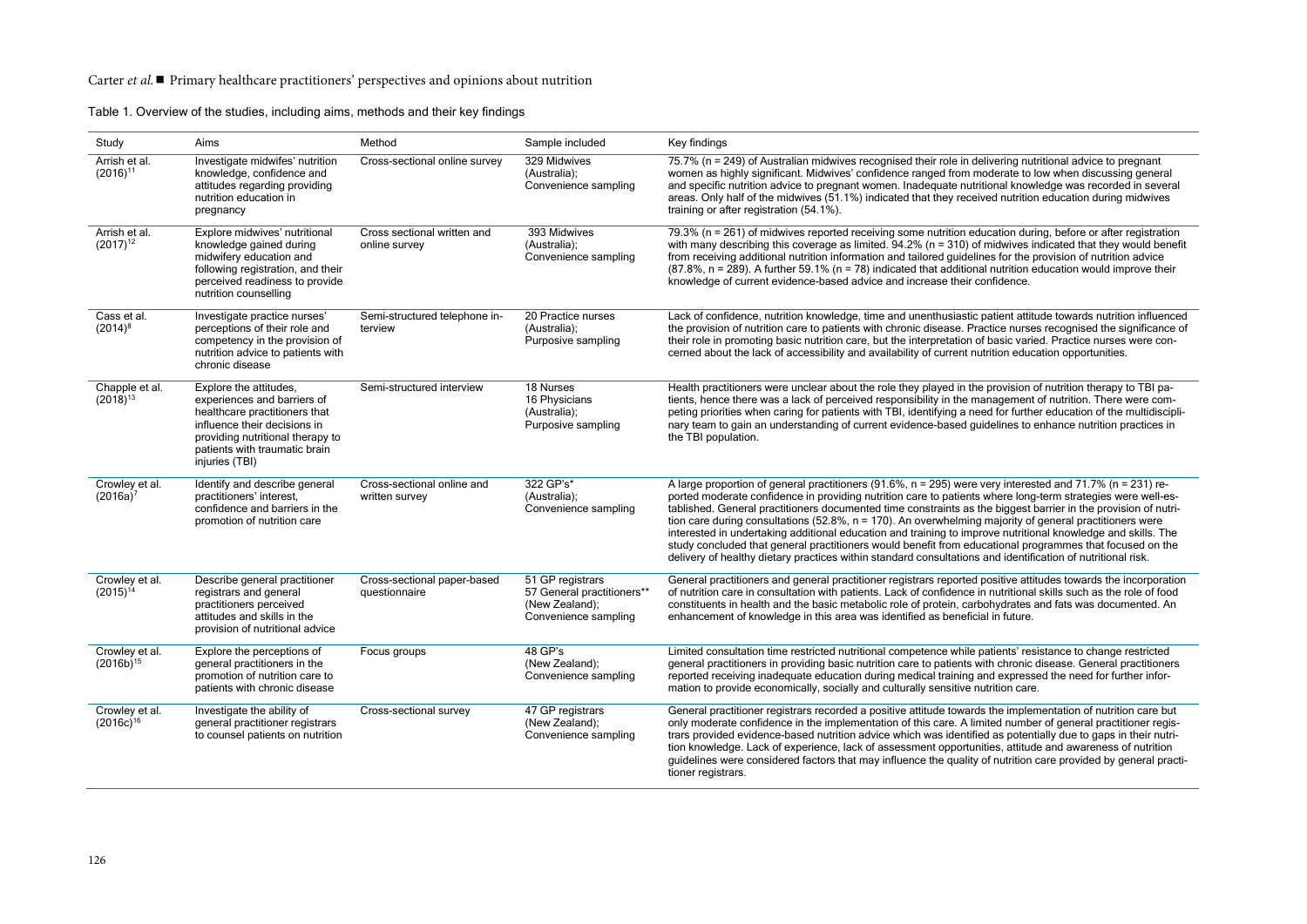Table 1. Overview of the studies, including aims, methods and their key findings

| Study                            | Aims                                                                                                                                                                                                          | Method                                       | Sample included                                                                          | Key findings                                                                                                                                                                                                                                                                                                                                                                                                                                                                                                                                                                                                                                                                                                                                                                                        |
|----------------------------------|---------------------------------------------------------------------------------------------------------------------------------------------------------------------------------------------------------------|----------------------------------------------|------------------------------------------------------------------------------------------|-----------------------------------------------------------------------------------------------------------------------------------------------------------------------------------------------------------------------------------------------------------------------------------------------------------------------------------------------------------------------------------------------------------------------------------------------------------------------------------------------------------------------------------------------------------------------------------------------------------------------------------------------------------------------------------------------------------------------------------------------------------------------------------------------------|
| Arrish et al.<br>$(2016)^{11}$   | Investigate midwifes' nutrition<br>knowledge, confidence and<br>attitudes regarding providing<br>nutrition education in<br>pregnancy                                                                          | Cross-sectional online survey                | 329 Midwives<br>(Australia);<br>Convenience sampling                                     | 75.7% (n = 249) of Australian midwives recognised their role in delivering nutritional advice to pregnant<br>women as highly significant. Midwives' confidence ranged from moderate to low when discussing general<br>and specific nutrition advice to pregnant women. Inadequate nutritional knowledge was recorded in several<br>areas. Only half of the midwives (51.1%) indicated that they received nutrition education during midwives<br>training or after registration (54.1%).                                                                                                                                                                                                                                                                                                             |
| Arrish et al.<br>$(2017)^{12}$   | Explore midwives' nutritional<br>knowledge gained during<br>midwifery education and<br>following registration, and their<br>perceived readiness to provide<br>nutrition counselling                           | Cross sectional written and<br>online survey | 393 Midwives<br>(Australia);<br>Convenience sampling                                     | 79.3% (n = 261) of midwives reported receiving some nutrition education during, before or after registration<br>with many describing this coverage as limited. $94.2\%$ (n = 310) of midwives indicated that they would benefit<br>from receiving additional nutrition information and tailored guidelines for the provision of nutrition advice<br>$(87.8\%$ , n = 289). A further 59.1% (n = 78) indicated that additional nutrition education would improve their<br>knowledge of current evidence-based advice and increase their confidence.                                                                                                                                                                                                                                                   |
| Cass et al.<br>$(2014)^8$        | Investigate practice nurses'<br>perceptions of their role and<br>competency in the provision of<br>nutrition advice to patients with<br>chronic disease                                                       | Semi-structured telephone in-<br>terview     | 20 Practice nurses<br>(Australia);<br>Purposive sampling                                 | Lack of confidence, nutrition knowledge, time and unenthusiastic patient attitude towards nutrition influenced<br>the provision of nutrition care to patients with chronic disease. Practice nurses recognised the significance of<br>their role in promoting basic nutrition care, but the interpretation of basic varied. Practice nurses were con-<br>cerned about the lack of accessibility and availability of current nutrition education opportunities.                                                                                                                                                                                                                                                                                                                                      |
| Chapple et al.<br>$(2018)^{13}$  | Explore the attitudes.<br>experiences and barriers of<br>healthcare practitioners that<br>influence their decisions in<br>providing nutritional therapy to<br>patients with traumatic brain<br>injuries (TBI) | Semi-structured interview                    | 18 Nurses<br>16 Physicians<br>(Australia);<br>Purposive sampling                         | Health practitioners were unclear about the role they played in the provision of nutrition therapy to TBI pa-<br>tients, hence there was a lack of perceived responsibility in the management of nutrition. There were com-<br>peting priorities when caring for patients with TBI, identifying a need for further education of the multidiscipli-<br>nary team to gain an understanding of current evidence-based quidelines to enhance nutrition practices in<br>the TBI population.                                                                                                                                                                                                                                                                                                              |
| Crowley et al.<br>$(2016a)^7$    | Identify and describe general<br>practitioners' interest,<br>confidence and barriers in the<br>promotion of nutrition care                                                                                    | Cross-sectional online and<br>written survey | 322 GP's*<br>(Australia);<br>Convenience sampling                                        | A large proportion of general practitioners (91.6%, n = 295) were very interested and 71.7% (n = 231) re-<br>ported moderate confidence in providing nutrition care to patients where long-term strategies were well-es-<br>tablished. General practitioners documented time constraints as the biggest barrier in the provision of nutri-<br>tion care during consultations (52.8%, $n = 170$ ). An overwhelming majority of general practitioners were<br>interested in undertaking additional education and training to improve nutritional knowledge and skills. The<br>study concluded that general practitioners would benefit from educational programmes that focused on the<br>delivery of healthy dietary practices within standard consultations and identification of nutritional risk. |
| Crowley et al.<br>$(2015)^{14}$  | Describe general practitioner<br>registrars and general<br>practitioners perceived<br>attitudes and skills in the<br>provision of nutritional advice                                                          | Cross-sectional paper-based<br>questionnaire | 51 GP registrars<br>57 General practitioners**<br>(New Zealand);<br>Convenience sampling | General practitioners and general practitioner registrars reported positive attitudes towards the incorporation<br>of nutrition care in consultation with patients. Lack of confidence in nutritional skills such as the role of food<br>constituents in health and the basic metabolic role of protein, carbohydrates and fats was documented. An<br>enhancement of knowledge in this area was identified as beneficial in future.                                                                                                                                                                                                                                                                                                                                                                 |
| Crowley et al.<br>$(2016b)^{15}$ | Explore the perceptions of<br>general practitioners in the<br>promotion of nutrition care to<br>patients with chronic disease                                                                                 | Focus groups                                 | $48$ GP's<br>(New Zealand);<br>Convenience sampling                                      | Limited consultation time restricted nutritional competence while patients' resistance to change restricted<br>general practitioners in providing basic nutrition care to patients with chronic disease. General practitioners<br>reported receiving inadequate education during medical training and expressed the need for further infor-<br>mation to provide economically, socially and culturally sensitive nutrition care.                                                                                                                                                                                                                                                                                                                                                                    |
| Crowley et al.<br>$(2016c)^{16}$ | Investigate the ability of<br>general practitioner registrars<br>to counsel patients on nutrition                                                                                                             | Cross-sectional survey                       | 47 GP registrars<br>(New Zealand);<br>Convenience sampling                               | General practitioner registrars recorded a positive attitude towards the implementation of nutrition care but<br>only moderate confidence in the implementation of this care. A limited number of general practitioner regis-<br>trars provided evidence-based nutrition advice which was identified as potentially due to gaps in their nutri-<br>tion knowledge. Lack of experience, lack of assessment opportunities, attitude and awareness of nutrition<br>guidelines were considered factors that may influence the quality of nutrition care provided by general practi-<br>tioner registrars.                                                                                                                                                                                               |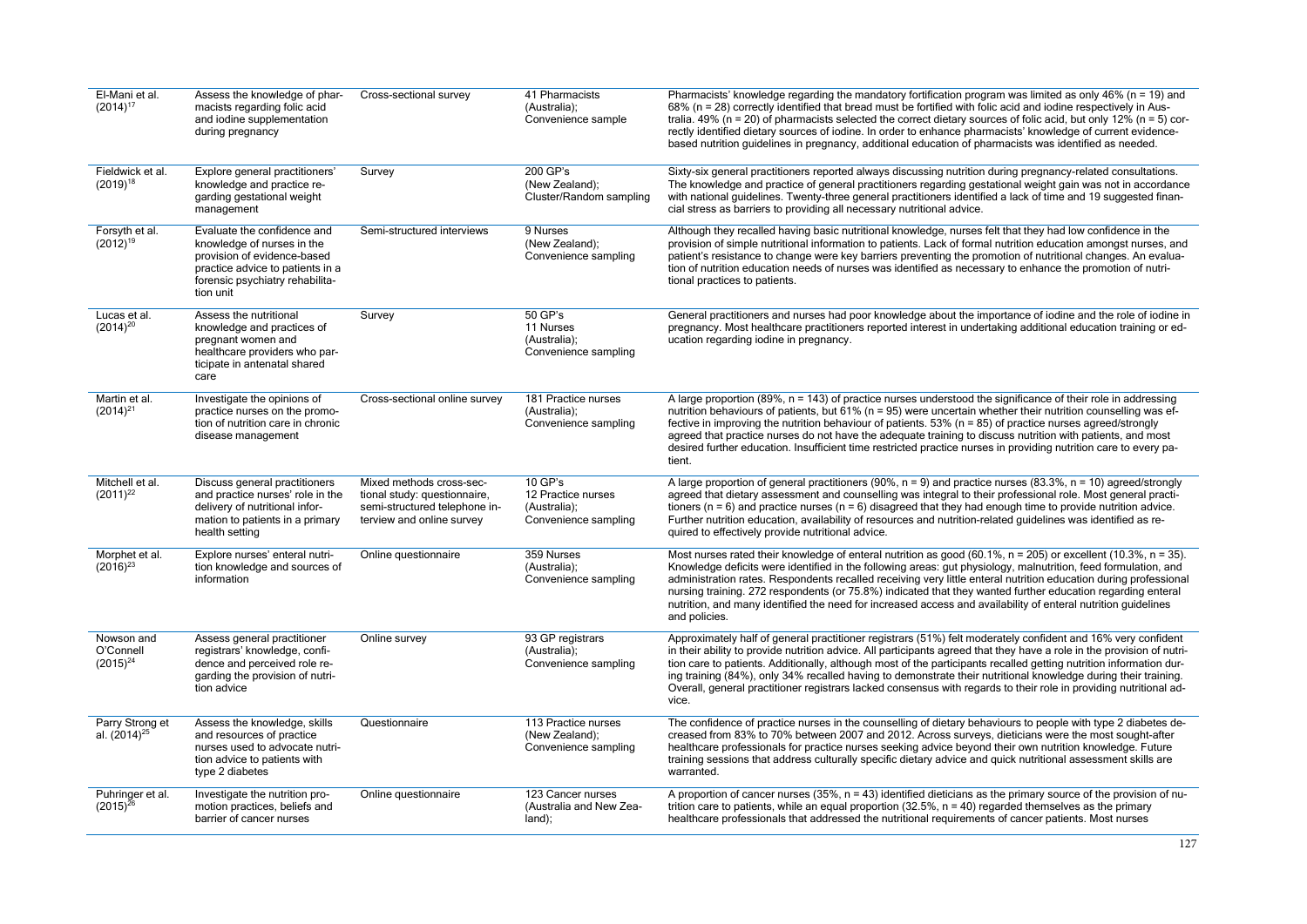| El-Mani et al.<br>$(2014)^{17}$             | Assess the knowledge of phar-<br>macists regarding folic acid<br>and iodine supplementation<br>during pregnancy                                                              | Cross-sectional survey                                                                                                 | 41 Pharmacists<br>(Australia);<br>Convenience sample                    | Pharmacists' knowledge regarding the mandatory fortification program was limited as only $46\%$ (n = 19) and<br>68% (n = 28) correctly identified that bread must be fortified with folic acid and iodine respectively in Aus-<br>tralia. 49% ( $n = 20$ ) of pharmacists selected the correct dietary sources of folic acid, but only 12% ( $n = 5$ ) cor-<br>rectly identified dietary sources of iodine. In order to enhance pharmacists' knowledge of current evidence-<br>based nutrition guidelines in pregnancy, additional education of pharmacists was identified as needed.                        |
|---------------------------------------------|------------------------------------------------------------------------------------------------------------------------------------------------------------------------------|------------------------------------------------------------------------------------------------------------------------|-------------------------------------------------------------------------|--------------------------------------------------------------------------------------------------------------------------------------------------------------------------------------------------------------------------------------------------------------------------------------------------------------------------------------------------------------------------------------------------------------------------------------------------------------------------------------------------------------------------------------------------------------------------------------------------------------|
| Fieldwick et al.<br>$(2019)^{18}$           | Explore general practitioners'<br>knowledge and practice re-<br>garding gestational weight<br>management                                                                     | Survey                                                                                                                 | 200 GP's<br>(New Zealand);<br>Cluster/Random sampling                   | Sixty-six general practitioners reported always discussing nutrition during pregnancy-related consultations.<br>The knowledge and practice of general practitioners regarding gestational weight gain was not in accordance<br>with national guidelines. Twenty-three general practitioners identified a lack of time and 19 suggested finan-<br>cial stress as barriers to providing all necessary nutritional advice.                                                                                                                                                                                      |
| Forsyth et al.<br>$(2012)^{19}$             | Evaluate the confidence and<br>knowledge of nurses in the<br>provision of evidence-based<br>practice advice to patients in a<br>forensic psychiatry rehabilita-<br>tion unit | Semi-structured interviews                                                                                             | 9 Nurses<br>(New Zealand);<br>Convenience sampling                      | Although they recalled having basic nutritional knowledge, nurses felt that they had low confidence in the<br>provision of simple nutritional information to patients. Lack of formal nutrition education amongst nurses, and<br>patient's resistance to change were key barriers preventing the promotion of nutritional changes. An evalua-<br>tion of nutrition education needs of nurses was identified as necessary to enhance the promotion of nutri-<br>tional practices to patients.                                                                                                                 |
| Lucas et al.<br>$(2014)^{20}$               | Assess the nutritional<br>knowledge and practices of<br>pregnant women and<br>healthcare providers who par-<br>ticipate in antenatal shared<br>care                          | Survey                                                                                                                 | 50 GP's<br>11 Nurses<br>(Australia);<br>Convenience sampling            | General practitioners and nurses had poor knowledge about the importance of iodine and the role of iodine in<br>pregnancy. Most healthcare practitioners reported interest in undertaking additional education training or ed-<br>ucation regarding iodine in pregnancy.                                                                                                                                                                                                                                                                                                                                     |
| Martin et al.<br>$(2014)^{21}$              | Investigate the opinions of<br>practice nurses on the promo-<br>tion of nutrition care in chronic<br>disease management                                                      | Cross-sectional online survey                                                                                          | 181 Practice nurses<br>(Australia);<br>Convenience sampling             | A large proportion (89%, n = 143) of practice nurses understood the significance of their role in addressing<br>nutrition behaviours of patients, but 61% (n = 95) were uncertain whether their nutrition counselling was ef-<br>fective in improving the nutrition behaviour of patients. $53\%$ ( $n = 85$ ) of practice nurses agreed/strongly<br>agreed that practice nurses do not have the adequate training to discuss nutrition with patients, and most<br>desired further education. Insufficient time restricted practice nurses in providing nutrition care to every pa-<br>tient.                |
| Mitchell et al.<br>$(2011)^{22}$            | Discuss general practitioners<br>and practice nurses' role in the<br>delivery of nutritional infor-<br>mation to patients in a primary<br>health setting                     | Mixed methods cross-sec-<br>tional study: questionnaire,<br>semi-structured telephone in-<br>terview and online survey | $10$ GP's<br>12 Practice nurses<br>(Australia);<br>Convenience sampling | A large proportion of general practitioners (90%, $n = 9$ ) and practice nurses (83.3%, $n = 10$ ) agreed/strongly<br>agreed that dietary assessment and counselling was integral to their professional role. Most general practi-<br>tioners ( $n = 6$ ) and practice nurses ( $n = 6$ ) disagreed that they had enough time to provide nutrition advice.<br>Further nutrition education, availability of resources and nutrition-related guidelines was identified as re-<br>quired to effectively provide nutritional advice.                                                                             |
| Morphet et al.<br>$(2016)^{23}$             | Explore nurses' enteral nutri-<br>tion knowledge and sources of<br>information                                                                                               | Online questionnaire                                                                                                   | 359 Nurses<br>(Australia);<br>Convenience sampling                      | Most nurses rated their knowledge of enteral nutrition as good $(60.1\%, n = 205)$ or excellent $(10.3\%, n = 35)$ .<br>Knowledge deficits were identified in the following areas: gut physiology, malnutrition, feed formulation, and<br>administration rates. Respondents recalled receiving very little enteral nutrition education during professional<br>nursing training. 272 respondents (or 75.8%) indicated that they wanted further education regarding enteral<br>nutrition, and many identified the need for increased access and availability of enteral nutrition guidelines<br>and policies.  |
| Nowson and<br>O'Connell<br>$(2015)^{24}$    | Assess general practitioner<br>registrars' knowledge, confi-<br>dence and perceived role re-<br>garding the provision of nutri-<br>tion advice                               | Online survey                                                                                                          | 93 GP registrars<br>(Australia);<br>Convenience sampling                | Approximately half of general practitioner registrars (51%) felt moderately confident and 16% very confident<br>in their ability to provide nutrition advice. All participants agreed that they have a role in the provision of nutri-<br>tion care to patients. Additionally, although most of the participants recalled getting nutrition information dur-<br>ing training (84%), only 34% recalled having to demonstrate their nutritional knowledge during their training.<br>Overall, general practitioner registrars lacked consensus with regards to their role in providing nutritional ad-<br>vice. |
| Parry Strong et<br>al. (2014) <sup>25</sup> | Assess the knowledge, skills<br>and resources of practice<br>nurses used to advocate nutri-<br>tion advice to patients with<br>type 2 diabetes                               | Questionnaire                                                                                                          | 113 Practice nurses<br>(New Zealand);<br>Convenience sampling           | The confidence of practice nurses in the counselling of dietary behaviours to people with type 2 diabetes de-<br>creased from 83% to 70% between 2007 and 2012. Across surveys, dieticians were the most sought-after<br>healthcare professionals for practice nurses seeking advice beyond their own nutrition knowledge. Future<br>training sessions that address culturally specific dietary advice and quick nutritional assessment skills are<br>warranted.                                                                                                                                             |
| Puhringer et al.<br>$(2015)^{26}$           | Investigate the nutrition pro-<br>motion practices, beliefs and<br>barrier of cancer nurses                                                                                  | Online questionnaire                                                                                                   | 123 Cancer nurses<br>(Australia and New Zea-<br>land);                  | A proportion of cancer nurses $(35\% \text{ n} = 43)$ identified dieticians as the primary source of the provision of nu-<br>trition care to patients, while an equal proportion $(32.5\%, n = 40)$ regarded themselves as the primary<br>healthcare professionals that addressed the nutritional requirements of cancer patients. Most nurses                                                                                                                                                                                                                                                               |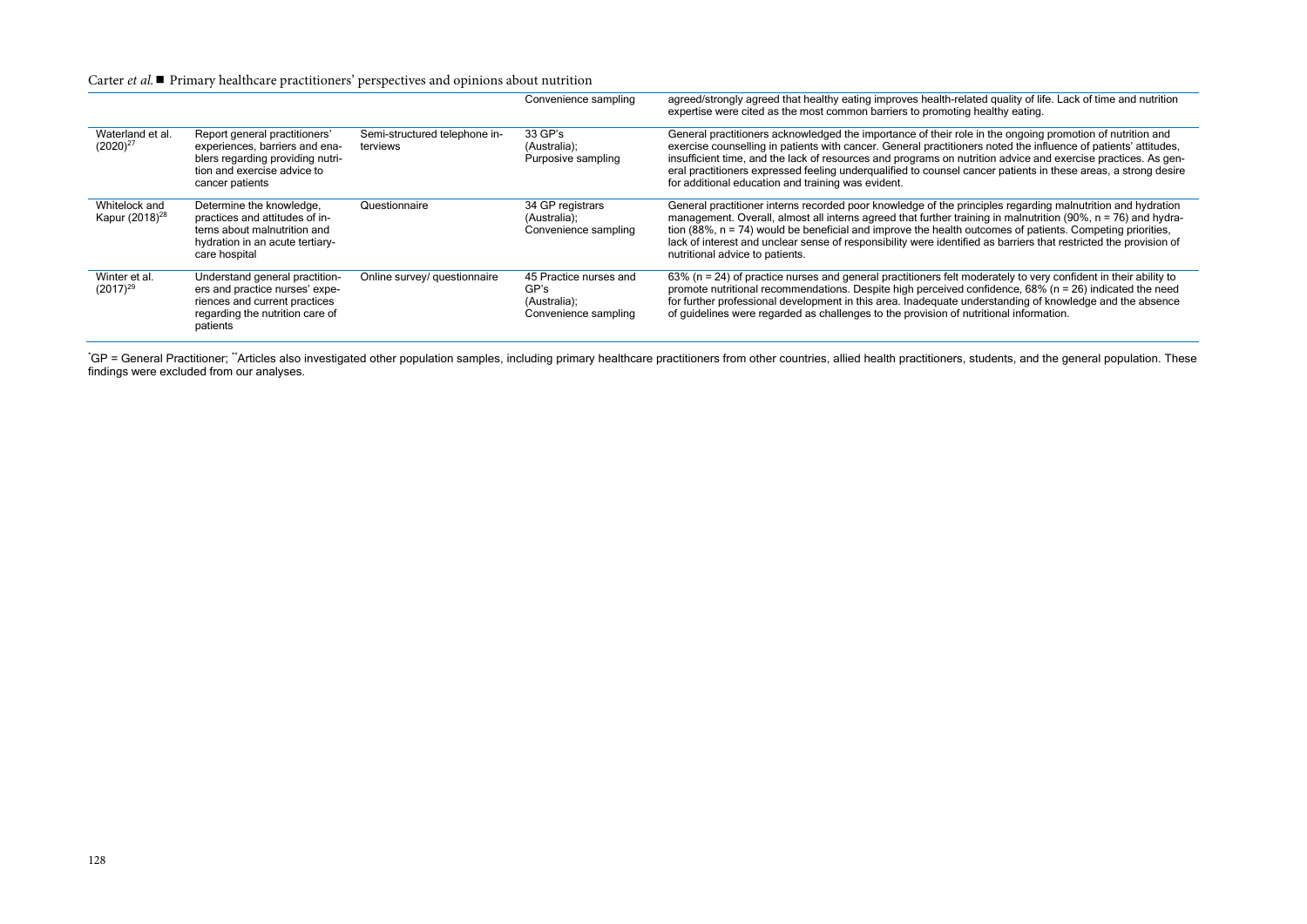|                                             |                                                                                                                                                       |                                           | Convenience sampling                                                   | agreed/strongly agreed that healthy eating improves health-related quality of life. Lack of time and nutrition<br>expertise were cited as the most common barriers to promoting healthy eating.                                                                                                                                                                                                                                                                                                                       |
|---------------------------------------------|-------------------------------------------------------------------------------------------------------------------------------------------------------|-------------------------------------------|------------------------------------------------------------------------|-----------------------------------------------------------------------------------------------------------------------------------------------------------------------------------------------------------------------------------------------------------------------------------------------------------------------------------------------------------------------------------------------------------------------------------------------------------------------------------------------------------------------|
| Waterland et al.<br>$(2020)^{27}$           | Report general practitioners'<br>experiences, barriers and ena-<br>blers regarding providing nutri-<br>tion and exercise advice to<br>cancer patients | Semi-structured telephone in-<br>terviews | $33$ GP's<br>(Australia);<br>Purposive sampling                        | General practitioners acknowledged the importance of their role in the ongoing promotion of nutrition and<br>exercise counselling in patients with cancer. General practitioners noted the influence of patients' attitudes,<br>insufficient time, and the lack of resources and programs on nutrition advice and exercise practices. As gen-<br>eral practitioners expressed feeling undergualified to counsel cancer patients in these areas, a strong desire<br>for additional education and training was evident. |
| Whitelock and<br>Kapur (2018) <sup>28</sup> | Determine the knowledge,<br>practices and attitudes of in-<br>terns about malnutrition and<br>hydration in an acute tertiary-<br>care hospital        | Questionnaire                             | 34 GP registrars<br>(Australia);<br>Convenience sampling               | General practitioner interns recorded poor knowledge of the principles regarding malnutrition and hydration<br>management. Overall, almost all interns agreed that further training in malnutrition (90%, n = 76) and hydra-<br>tion (88%, n = 74) would be beneficial and improve the health outcomes of patients. Competing priorities,<br>lack of interest and unclear sense of responsibility were identified as barriers that restricted the provision of<br>nutritional advice to patients.                     |
| Winter et al.<br>$(2017)^{29}$              | Understand general practition-<br>ers and practice nurses' expe-<br>riences and current practices<br>regarding the nutrition care of<br>patients      | Online survey/ questionnaire              | 45 Practice nurses and<br>GP's<br>(Australia);<br>Convenience sampling | 63% ( $n = 24$ ) of practice nurses and general practitioners felt moderately to very confident in their ability to<br>promote nutritional recommendations. Despite high perceived confidence, $68\%$ ( $n = 26$ ) indicated the need<br>for further professional development in this area. Inadequate understanding of knowledge and the absence<br>of guidelines were regarded as challenges to the provision of nutritional information.                                                                           |

\* GP = General Practitioner; \*\*Articles also investigated other population samples, including primary healthcare practitioners from other countries, allied health practitioners, students, and the general population. These findings were excluded from our analyses.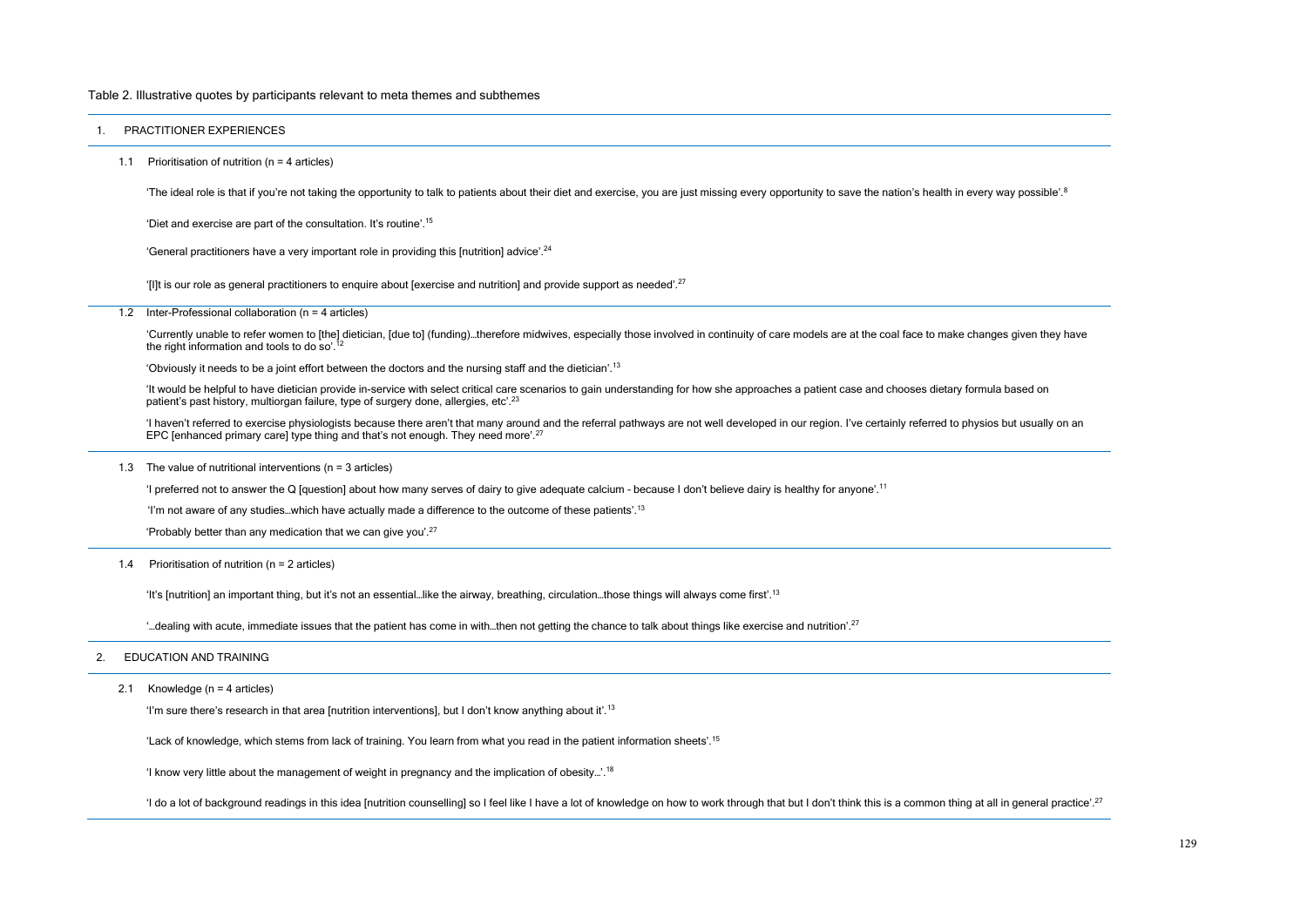#### Table 2. Illustrative quotes by participants relevant to meta themes and subthemes

#### 1. PRACTITIONER EXPERIENCES

1.1 Prioritisation of nutrition (n = 4 articles)

'The ideal role is that if you're not taking the opportunity to talk to patients about their diet and exercise, you are just missing every opportunity to save the nation's health in every way possible'.<sup>8</sup>

'Diet and exercise are part of the consultation. It's routine'.15

'General practitioners have a very important role in providing this [nutrition] advice'.<sup>24</sup>

<sup>'[1]</sup>It is our role as general practitioners to enquire about [exercise and nutrition] and provide support as needed'.<sup>27</sup>

1.2 Inter-Professional collaboration (n = 4 articles)

'Currently unable to refer women to [the] dietician, [due to] (funding)…therefore midwives, especially those involved in continuity of care models are at the coal face to make changes given they have the right information and tools to do so'.<sup>12</sup>

'Obviously it needs to be a joint effort between the doctors and the nursing staff and the dietician'.13

'It would be helpful to have dietician provide in-service with select critical care scenarios to gain understanding for how she approaches a patient case and chooses dietary formula based on patient's past history, multiorgan failure, type of surgery done, allergies, etc'.<sup>23</sup>

'I haven't referred to exercise physiologists because there aren't that many around and the referral pathways are not well developed in our region. I've certainly referred to physios but usually on an EPC [enhanced primary care] type thing and that's not enough. They need more'.<sup>27</sup>

#### 1.3 The value of nutritional interventions (n = 3 articles)

'I preferred not to answer the Q [question] about how many serves of dairy to give adequate calcium – because I don't believe dairy is healthy for anyone'.11

'I'm not aware of any studies…which have actually made a difference to the outcome of these patients'.13

'Probably better than any medication that we can give you'.<sup>27</sup>

#### 1.4 Prioritisation of nutrition (n = 2 articles)

'It's [nutrition] an important thing, but it's not an essential…like the airway, breathing, circulation…those things will always come first'.13

...dealing with acute, immediate issues that the patient has come in with...then not getting the chance to talk about things like exercise and nutrition'.<sup>27</sup>

#### 2. EDUCATION AND TRAINING

2.1 Knowledge (n = 4 articles)

'I'm sure there's research in that area [nutrition interventions], but I don't know anything about it'.<sup>13</sup>

'Lack of knowledge, which stems from lack of training. You learn from what you read in the patient information sheets'.15

'I know very little about the management of weight in pregnancy and the implication of obesity…'.18

<sup>1</sup> do a lot of background readings in this idea [nutrition counselling] so I feel like I have a lot of knowledge on how to work through that but I don't think this is a common thing at all in general practice'.<sup>27</sup>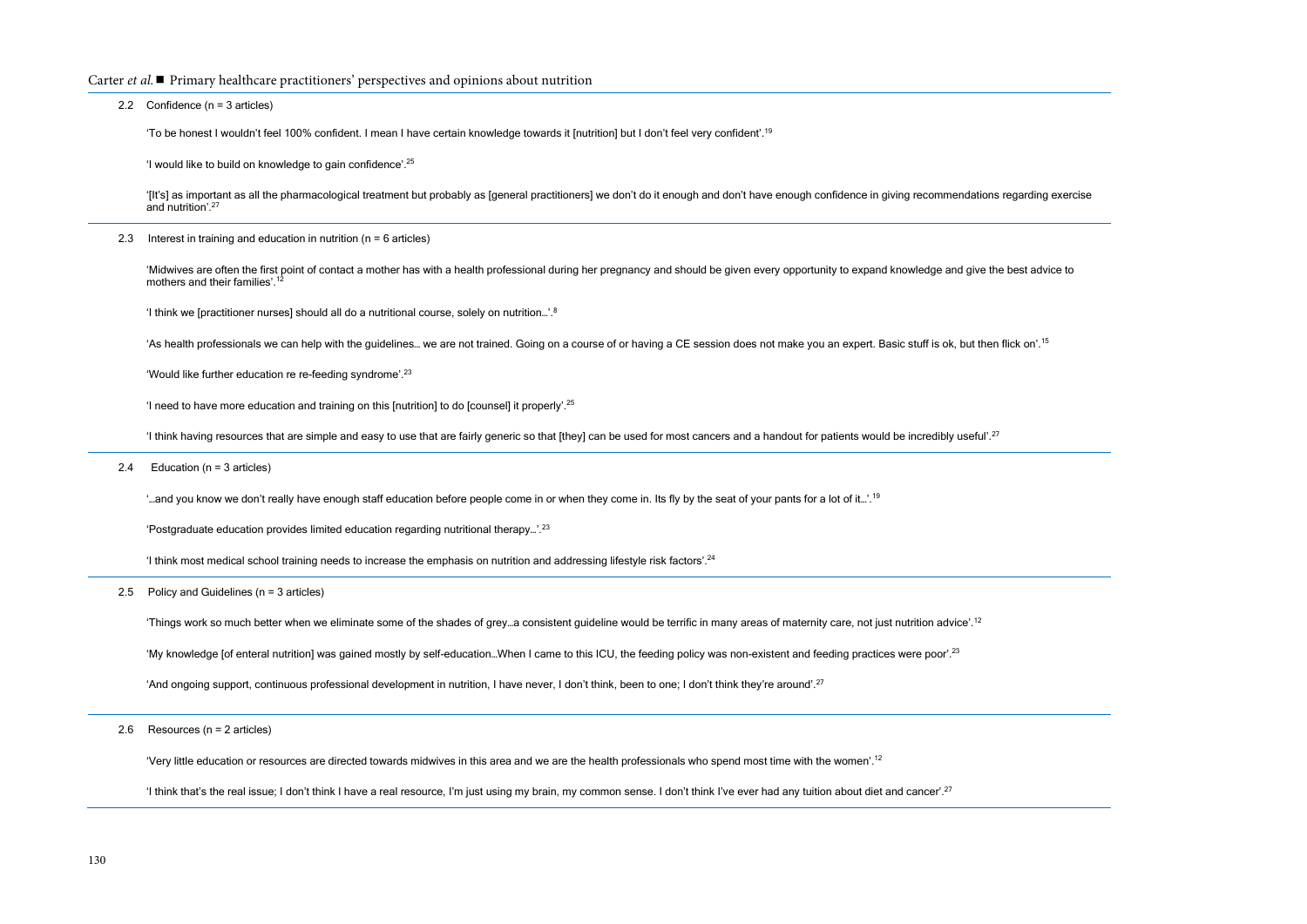2.2 Confidence (n = 3 articles)

'To be honest I wouldn't feel 100% confident. I mean I have certain knowledge towards it [nutrition] but I don't feel very confident'.19

'I would like to build on knowledge to gain confidence'.25

'[It's] as important as all the pharmacological treatment but probably as [general practitioners] we don't do it enough and don't have enough confidence in giving recommendations regarding exercise and nutrition'.27

2.3 Interest in training and education in nutrition ( $n = 6$  articles)

'Midwives are often the first point of contact a mother has with a health professional during her pregnancy and should be given every opportunity to expand knowledge and give the best advice to mothers and their families'.<sup>12</sup>

'I think we [practitioner nurses] should all do a nutritional course, solely on nutrition…'.8

'As health professionals we can help with the quidelines... we are not trained. Going on a course of or having a CE session does not make you an expert. Basic stuff is ok, but then flick on'.<sup>15</sup>

'Would like further education re re-feeding syndrome'.<sup>23</sup>

'I need to have more education and training on this [nutrition] to do [counsel] it properly'.25

<sup>1</sup> think having resources that are simple and easy to use that are fairly generic so that [they] can be used for most cancers and a handout for patients would be incredibly useful'.<sup>27</sup>

2.4 Education (n = 3 articles)

"...and you know we don't really have enough staff education before people come in or when they come in. Its fly by the seat of your pants for a lot of it...'.<sup>19</sup>

'Postgraduate education provides limited education regarding nutritional therapy…'.23

'I think most medical school training needs to increase the emphasis on nutrition and addressing lifestyle risk factors'.24

2.5 Policy and Guidelines (n = 3 articles)

'Things work so much better when we eliminate some of the shades of grey...a consistent quideline would be terrific in many areas of maternity care, not just nutrition advice'.<sup>12</sup>

'My knowledge [of enteral nutrition] was gained mostly by self-education...When I came to this ICU, the feeding policy was non-existent and feeding practices were poor'.<sup>23</sup>

'And ongoing support, continuous professional development in nutrition, I have never, I don't think, been to one; I don't think they're around'.<sup>27</sup>

2.6 Resources (n = 2 articles)

'Very little education or resources are directed towards midwives in this area and we are the health professionals who spend most time with the women'.12

'I think that's the real issue; I don't think I have a real resource, I'm just using my brain, my common sense. I don't think I've ever had any tuition about diet and cancer'.<sup>27</sup>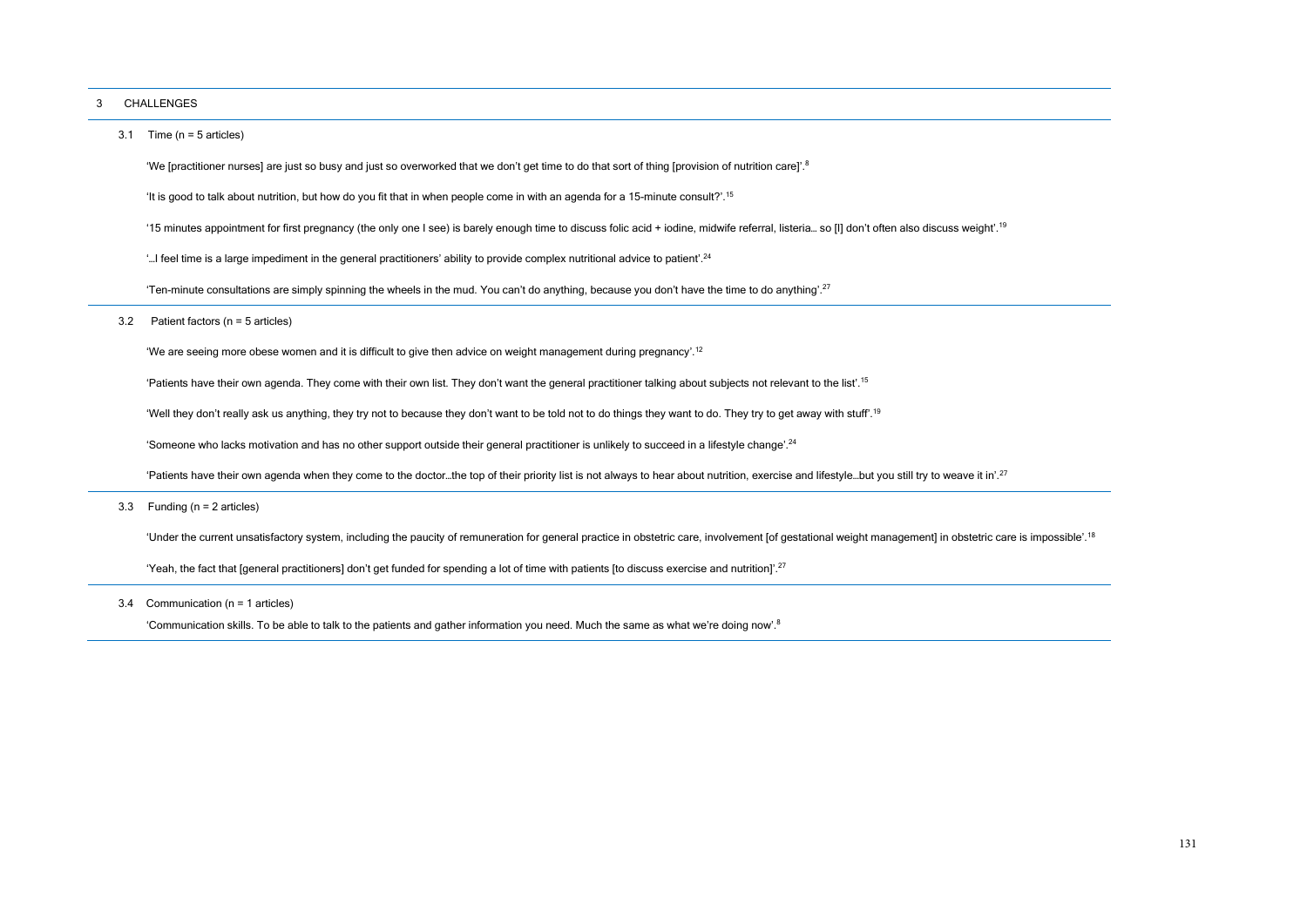#### 3 CHALLENGES

3.1 Time (n = 5 articles)

'We [practitioner nurses] are just so busy and just so overworked that we don't get time to do that sort of thing [provision of nutrition care]'.8

'It is good to talk about nutrition, but how do you fit that in when people come in with an agenda for a 15-minute consult?'.15

'15 minutes appointment for first pregnancy (the only one I see) is barely enough time to discuss folic acid + iodine, midwife referral, listeria… so [I] don't often also discuss weight'.19

 $\ldots$  feel time is a large impediment in the general practitioners' ability to provide complex nutritional advice to patient'.<sup>24</sup>

"Ten-minute consultations are simply spinning the wheels in the mud. You can't do anything, because you don't have the time to do anything'.<sup>27</sup>

3.2 Patient factors (n = 5 articles)

'We are seeing more obese women and it is difficult to give then advice on weight management during pregnancy'.12

'Patients have their own agenda. They come with their own list. They don't want the general practitioner talking about subjects not relevant to the list'.15

'Well they don't really ask us anything, they try not to because they don't want to be told not to do things they want to do. They try to get away with stuff'.19

'Someone who lacks motivation and has no other support outside their general practitioner is unlikely to succeed in a lifestyle change'.<sup>24</sup>

'Patients have their own agenda when they come to the doctor...the top of their priority list is not always to hear about nutrition, exercise and lifestyle...but you still try to weave it in'.<sup>27</sup>

3.3 Funding (n = 2 articles)

'Under the current unsatisfactory system, including the paucity of remuneration for general practice in obstetric care, involvement [of gestational weight management] in obstetric care is impossible'.<sup>18</sup>

'Yeah, the fact that [general practitioners] don't get funded for spending a lot of time with patients [to discuss exercise and nutrition]'.<sup>27</sup>

3.4 Communication (n = 1 articles)

'Communication skills. To be able to talk to the patients and gather information you need. Much the same as what we're doing now'.8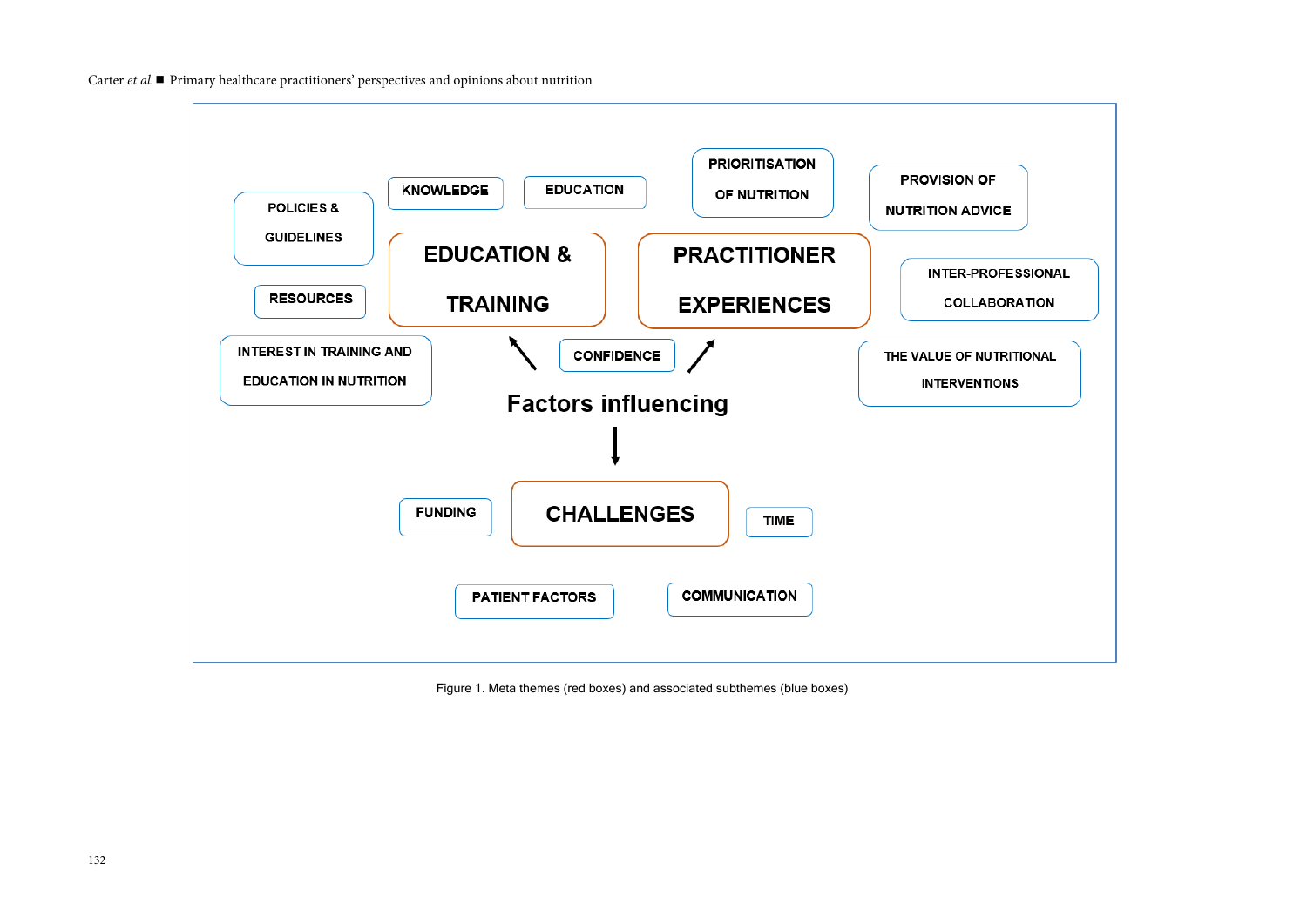

Figure 1. Meta themes (red boxes) and associated subthemes (blue boxes)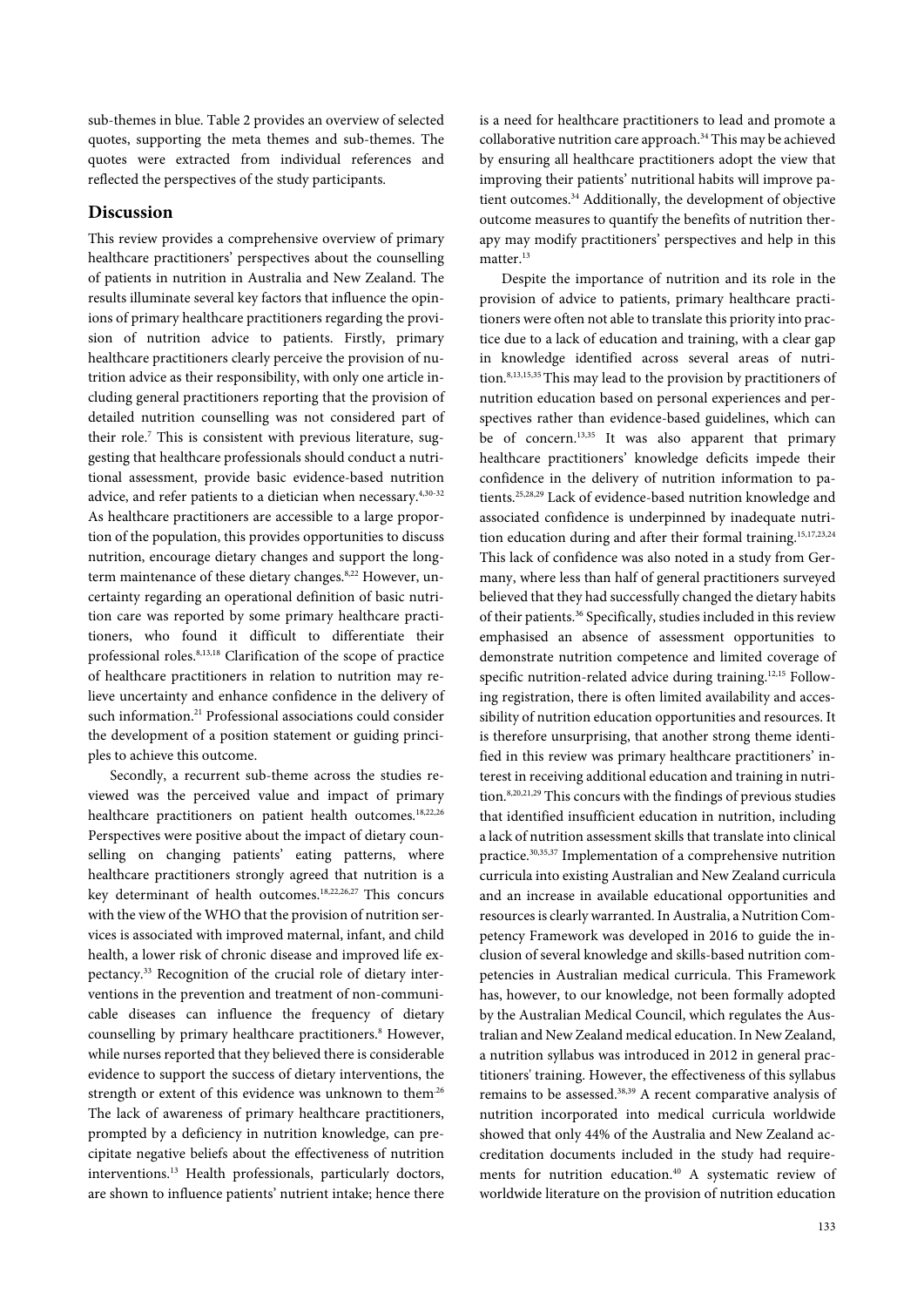sub-themes in blue. Table 2 provides an overview of selected quotes, supporting the meta themes and sub-themes. The quotes were extracted from individual references and reflected the perspectives of the study participants.

# **Discussion**

This review provides a comprehensive overview of primary healthcare practitioners' perspectives about the counselling of patients in nutrition in Australia and New Zealand. The results illuminate several key factors that influence the opinions of primary healthcare practitioners regarding the provision of nutrition advice to patients. Firstly, primary healthcare practitioners clearly perceive the provision of nutrition advice as their responsibility, with only one article including general practitioners reporting that the provision of detailed nutrition counselling was not considered part of their role.<sup>7</sup> This is consistent with previous literature, suggesting that healthcare professionals should conduct a nutritional assessment, provide basic evidence-based nutrition advice, and refer patients to a dietician when necessary.<sup>4,30-32</sup> As healthcare practitioners are accessible to a large proportion of the population, this provides opportunities to discuss nutrition, encourage dietary changes and support the longterm maintenance of these dietary changes.<sup>8,22</sup> However, uncertainty regarding an operational definition of basic nutrition care was reported by some primary healthcare practitioners, who found it difficult to differentiate their professional roles.8,13,18 Clarification of the scope of practice of healthcare practitioners in relation to nutrition may relieve uncertainty and enhance confidence in the delivery of such information.<sup>21</sup> Professional associations could consider the development of a position statement or guiding principles to achieve this outcome.

Secondly, a recurrent sub-theme across the studies reviewed was the perceived value and impact of primary healthcare practitioners on patient health outcomes.<sup>18,22,26</sup> Perspectives were positive about the impact of dietary counselling on changing patients' eating patterns, where healthcare practitioners strongly agreed that nutrition is a key determinant of health outcomes.18,22,26,27 This concurs with the view of the WHO that the provision of nutrition services is associated with improved maternal, infant, and child health, a lower risk of chronic disease and improved life expectancy.33 Recognition of the crucial role of dietary interventions in the prevention and treatment of non-communicable diseases can influence the frequency of dietary counselling by primary healthcare practitioners.<sup>8</sup> However, while nurses reported that they believed there is considerable evidence to support the success of dietary interventions, the strength or extent of this evidence was unknown to them.<sup>26</sup> The lack of awareness of primary healthcare practitioners, prompted by a deficiency in nutrition knowledge, can precipitate negative beliefs about the effectiveness of nutrition interventions.13 Health professionals, particularly doctors, are shown to influence patients' nutrient intake; hence there

is a need for healthcare practitioners to lead and promote a collaborative nutrition care approach.<sup>34</sup> This may be achieved by ensuring all healthcare practitioners adopt the view that improving their patients' nutritional habits will improve patient outcomes.34 Additionally, the development of objective outcome measures to quantify the benefits of nutrition therapy may modify practitioners' perspectives and help in this matter.<sup>13</sup>

Despite the importance of nutrition and its role in the provision of advice to patients, primary healthcare practitioners were often not able to translate this priority into practice due to a lack of education and training, with a clear gap in knowledge identified across several areas of nutrition.8,13,15,35 This may lead to the provision by practitioners of nutrition education based on personal experiences and perspectives rather than evidence-based guidelines, which can be of concern.<sup>13,35</sup> It was also apparent that primary healthcare practitioners' knowledge deficits impede their confidence in the delivery of nutrition information to patients.<sup>25,28,29</sup> Lack of evidence-based nutrition knowledge and associated confidence is underpinned by inadequate nutrition education during and after their formal training.<sup>15,17,23,24</sup> This lack of confidence was also noted in a study from Germany, where less than half of general practitioners surveyed believed that they had successfully changed the dietary habits of their patients.36 Specifically, studies included in this review emphasised an absence of assessment opportunities to demonstrate nutrition competence and limited coverage of specific nutrition-related advice during training.<sup>12,15</sup> Following registration, there is often limited availability and accessibility of nutrition education opportunities and resources. It is therefore unsurprising, that another strong theme identified in this review was primary healthcare practitioners' interest in receiving additional education and training in nutrition.8,20,21,29 This concurs with the findings of previous studies that identified insufficient education in nutrition, including a lack of nutrition assessment skills that translate into clinical practice.30,35,37 Implementation of a comprehensive nutrition curricula into existing Australian and New Zealand curricula and an increase in available educational opportunities and resources is clearly warranted. In Australia, a Nutrition Competency Framework was developed in 2016 to guide the inclusion of several knowledge and skills-based nutrition competencies in Australian medical curricula. This Framework has, however, to our knowledge, not been formally adopted by the Australian Medical Council, which regulates the Australian and New Zealand medical education. In New Zealand, a nutrition syllabus was introduced in 2012 in general practitioners' training. However, the effectiveness of this syllabus remains to be assessed.38,39 A recent comparative analysis of nutrition incorporated into medical curricula worldwide showed that only 44% of the Australia and New Zealand accreditation documents included in the study had requirements for nutrition education.<sup>40</sup> A systematic review of worldwide literature on the provision of nutrition education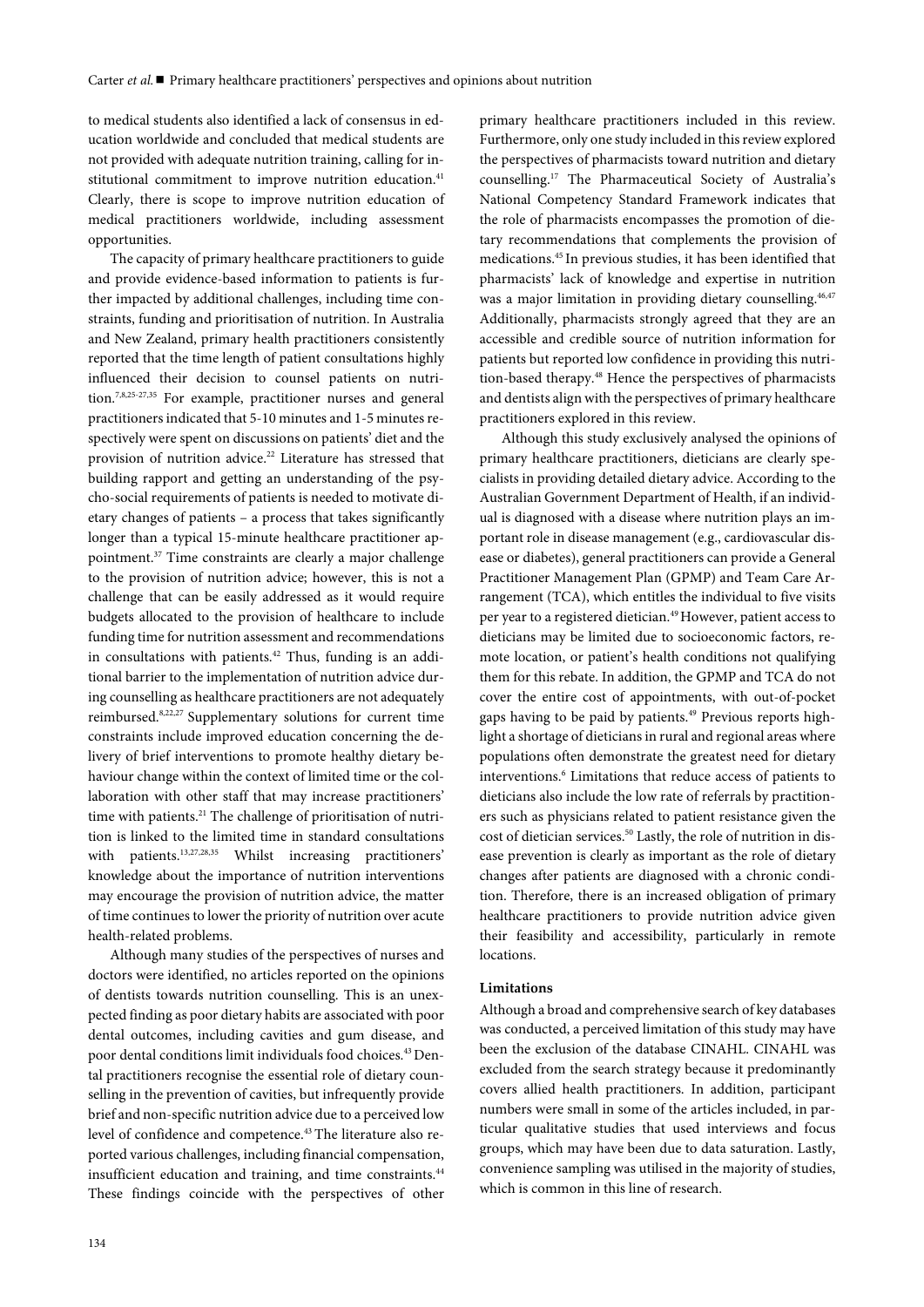to medical students also identified a lack of consensus in education worldwide and concluded that medical students are not provided with adequate nutrition training, calling for institutional commitment to improve nutrition education.<sup>41</sup> Clearly, there is scope to improve nutrition education of medical practitioners worldwide, including assessment opportunities.

The capacity of primary healthcare practitioners to guide and provide evidence-based information to patients is further impacted by additional challenges, including time constraints, funding and prioritisation of nutrition. In Australia and New Zealand, primary health practitioners consistently reported that the time length of patient consultations highly influenced their decision to counsel patients on nutrition.7,8,25-27,35 For example, practitioner nurses and general practitioners indicated that 5-10 minutes and 1-5 minutes respectively were spent on discussions on patients' diet and the provision of nutrition advice.<sup>22</sup> Literature has stressed that building rapport and getting an understanding of the psycho-social requirements of patients is needed to motivate dietary changes of patients – a process that takes significantly longer than a typical 15-minute healthcare practitioner appointment.37 Time constraints are clearly a major challenge to the provision of nutrition advice; however, this is not a challenge that can be easily addressed as it would require budgets allocated to the provision of healthcare to include funding time for nutrition assessment and recommendations in consultations with patients.<sup>42</sup> Thus, funding is an additional barrier to the implementation of nutrition advice during counselling as healthcare practitioners are not adequately reimbursed.8,22,27 Supplementary solutions for current time constraints include improved education concerning the delivery of brief interventions to promote healthy dietary behaviour change within the context of limited time or the collaboration with other staff that may increase practitioners' time with patients.<sup>21</sup> The challenge of prioritisation of nutrition is linked to the limited time in standard consultations with patients.<sup>13,27,28,35</sup> Whilst increasing practitioners' knowledge about the importance of nutrition interventions may encourage the provision of nutrition advice, the matter of time continues to lower the priority of nutrition over acute health-related problems.

Although many studies of the perspectives of nurses and doctors were identified, no articles reported on the opinions of dentists towards nutrition counselling. This is an unexpected finding as poor dietary habits are associated with poor dental outcomes, including cavities and gum disease, and poor dental conditions limit individuals food choices.43 Dental practitioners recognise the essential role of dietary counselling in the prevention of cavities, but infrequently provide brief and non-specific nutrition advice due to a perceived low level of confidence and competence.<sup>43</sup> The literature also reported various challenges, including financial compensation, insufficient education and training, and time constraints.<sup>44</sup> These findings coincide with the perspectives of other primary healthcare practitioners included in this review. Furthermore, only one study included in this review explored the perspectives of pharmacists toward nutrition and dietary counselling.17 The Pharmaceutical Society of Australia's National Competency Standard Framework indicates that the role of pharmacists encompasses the promotion of dietary recommendations that complements the provision of medications.45 In previous studies, it has been identified that pharmacists' lack of knowledge and expertise in nutrition was a major limitation in providing dietary counselling.<sup>46,47</sup> Additionally, pharmacists strongly agreed that they are an accessible and credible source of nutrition information for patients but reported low confidence in providing this nutrition-based therapy.<sup>48</sup> Hence the perspectives of pharmacists and dentists align with the perspectives of primary healthcare practitioners explored in this review.

Although this study exclusively analysed the opinions of primary healthcare practitioners, dieticians are clearly specialists in providing detailed dietary advice. According to the Australian Government Department of Health, if an individual is diagnosed with a disease where nutrition plays an important role in disease management (e.g., cardiovascular disease or diabetes), general practitioners can provide a General Practitioner Management Plan (GPMP) and Team Care Arrangement (TCA), which entitles the individual to five visits per year to a registered dietician.<sup>49</sup> However, patient access to dieticians may be limited due to socioeconomic factors, remote location, or patient's health conditions not qualifying them for this rebate. In addition, the GPMP and TCA do not cover the entire cost of appointments, with out-of-pocket gaps having to be paid by patients.<sup>49</sup> Previous reports highlight a shortage of dieticians in rural and regional areas where populations often demonstrate the greatest need for dietary interventions.<sup>6</sup> Limitations that reduce access of patients to dieticians also include the low rate of referrals by practitioners such as physicians related to patient resistance given the cost of dietician services.50 Lastly, the role of nutrition in disease prevention is clearly as important as the role of dietary changes after patients are diagnosed with a chronic condition. Therefore, there is an increased obligation of primary healthcare practitioners to provide nutrition advice given their feasibility and accessibility, particularly in remote locations.

## **Limitations**

Although a broad and comprehensive search of key databases was conducted, a perceived limitation of this study may have been the exclusion of the database CINAHL. CINAHL was excluded from the search strategy because it predominantly covers allied health practitioners. In addition, participant numbers were small in some of the articles included, in particular qualitative studies that used interviews and focus groups, which may have been due to data saturation. Lastly, convenience sampling was utilised in the majority of studies, which is common in this line of research.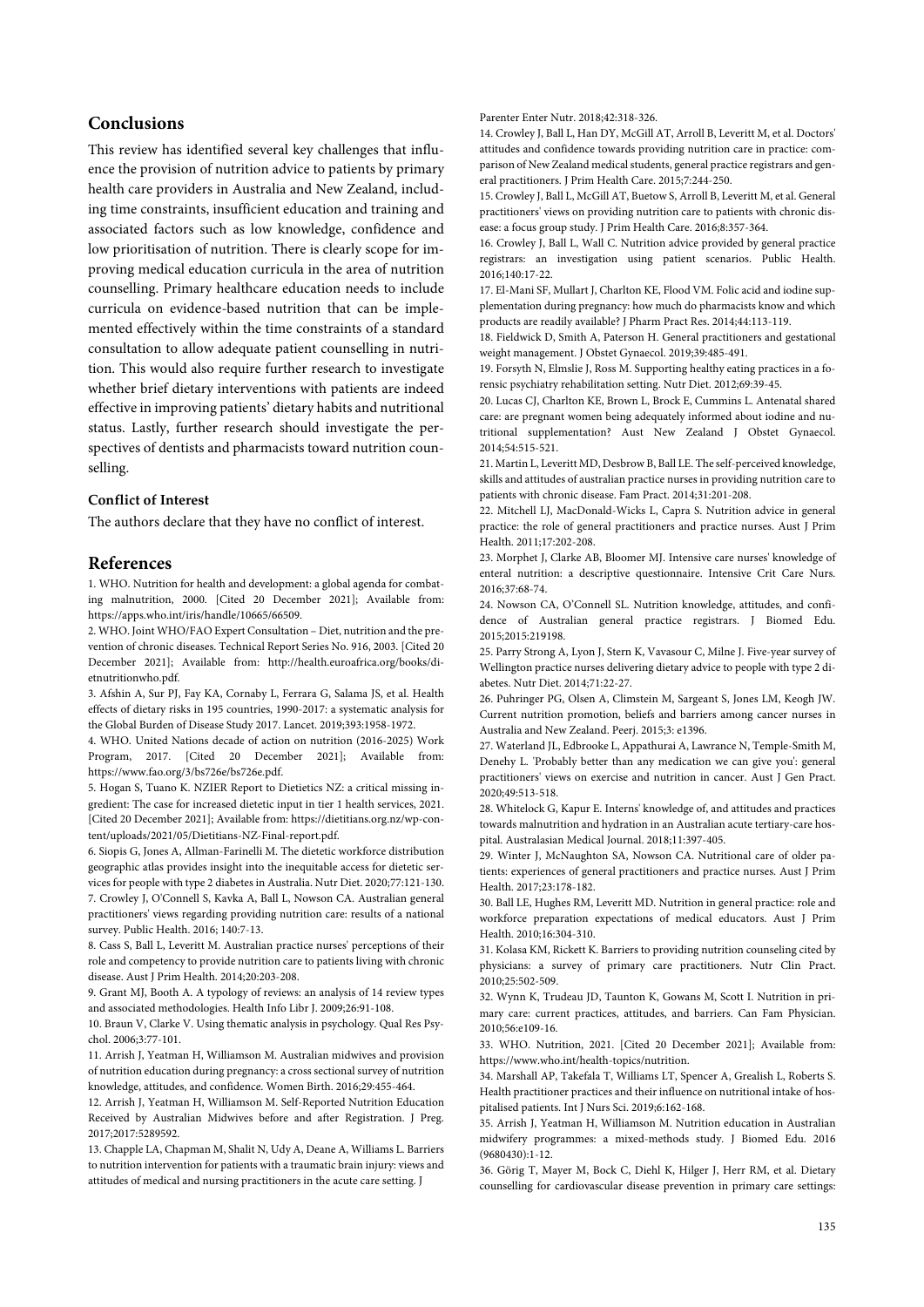# **Conclusions**

This review has identified several key challenges that influence the provision of nutrition advice to patients by primary health care providers in Australia and New Zealand, including time constraints, insufficient education and training and associated factors such as low knowledge, confidence and low prioritisation of nutrition. There is clearly scope for improving medical education curricula in the area of nutrition counselling. Primary healthcare education needs to include curricula on evidence-based nutrition that can be implemented effectively within the time constraints of a standard consultation to allow adequate patient counselling in nutrition. This would also require further research to investigate whether brief dietary interventions with patients are indeed effective in improving patients' dietary habits and nutritional status. Lastly, further research should investigate the perspectives of dentists and pharmacists toward nutrition counselling.

## **Conflict of Interest**

The authors declare that they have no conflict of interest.

## **References**

1. WHO. Nutrition for health and development: a global agenda for combating malnutrition, 2000. [Cited 20 December 2021]; Available from: https://apps.who.int/iris/handle/10665/66509.

2. WHO. Joint WHO/FAO Expert Consultation – Diet, nutrition and the prevention of chronic diseases. Technical Report Series No. 916, 2003. [Cited 20 December 2021]; Available from: http://health.euroafrica.org/books/dietnutritionwho.pdf.

3. Afshin A, Sur PJ, Fay KA, Cornaby L, Ferrara G, Salama JS, et al. Health effects of dietary risks in 195 countries, 1990-2017: a systematic analysis for the Global Burden of Disease Study 2017. Lancet. 2019;393:1958-1972.

4. WHO. United Nations decade of action on nutrition (2016-2025) Work Program, 2017. [Cited 20 December 2021]; Available from: https://www.fao.org/3/bs726e/bs726e.pdf.

5. Hogan S, Tuano K. NZIER Report to Dietietics NZ: a critical missing ingredient: The case for increased dietetic input in tier 1 health services, 2021. [Cited 20 December 2021]; Available from: https://dietitians.org.nz/wp-content/uploads/2021/05/Dietitians-NZ-Final-report.pdf.

6. Siopis G, Jones A, Allman-Farinelli M. The dietetic workforce distribution geographic atlas provides insight into the inequitable access for dietetic services for people with type 2 diabetes in Australia. Nutr Diet. 2020;77:121-130. 7. Crowley J, O'Connell S, Kavka A, Ball L, Nowson CA. Australian general practitioners' views regarding providing nutrition care: results of a national survey. Public Health. 2016; 140:7-13.

8. Cass S, Ball L, Leveritt M. Australian practice nurses' perceptions of their role and competency to provide nutrition care to patients living with chronic disease. Aust J Prim Health. 2014;20:203-208.

9. Grant MJ, Booth A. A typology of reviews: an analysis of 14 review types and associated methodologies. Health Info Libr J. 2009;26:91-108.

10. Braun V, Clarke V. Using thematic analysis in psychology. Qual Res Psychol. 2006;3:77-101.

11. Arrish J, Yeatman H, Williamson M. Australian midwives and provision of nutrition education during pregnancy: a cross sectional survey of nutrition knowledge, attitudes, and confidence. Women Birth. 2016;29:455-464.

12. Arrish J, Yeatman H, Williamson M. Self-Reported Nutrition Education Received by Australian Midwives before and after Registration. J Preg. 2017;2017:5289592.

13. Chapple LA, Chapman M, Shalit N, Udy A, Deane A, Williams L. Barriers to nutrition intervention for patients with a traumatic brain injury: views and attitudes of medical and nursing practitioners in the acute care setting. J

Parenter Enter Nutr. 2018;42:318-326.

14. Crowley J, Ball L, Han DY, McGill AT, Arroll B, Leveritt M, et al. Doctors' attitudes and confidence towards providing nutrition care in practice: comparison of New Zealand medical students, general practice registrars and general practitioners. J Prim Health Care. 2015;7:244-250.

15. Crowley J, Ball L, McGill AT, Buetow S, Arroll B, Leveritt M, et al. General practitioners' views on providing nutrition care to patients with chronic disease: a focus group study. J Prim Health Care. 2016;8:357-364.

16. Crowley J, Ball L, Wall C. Nutrition advice provided by general practice registrars: an investigation using patient scenarios. Public Health. 2016;140:17-22.

17. El-Mani SF, Mullart J, Charlton KE, Flood VM. Folic acid and iodine supplementation during pregnancy: how much do pharmacists know and which products are readily available? J Pharm Pract Res. 2014;44:113-119.

18. Fieldwick D, Smith A, Paterson H. General practitioners and gestational weight management. J Obstet Gynaecol. 2019;39:485-491.

19. Forsyth N, Elmslie J, Ross M. Supporting healthy eating practices in a forensic psychiatry rehabilitation setting. Nutr Diet. 2012;69:39-45.

20. Lucas CJ, Charlton KE, Brown L, Brock E, Cummins L. Antenatal shared care: are pregnant women being adequately informed about iodine and nutritional supplementation? Aust New Zealand J Obstet Gynaecol. 2014;54:515-521.

21. Martin L, Leveritt MD, Desbrow B, Ball LE. The self-perceived knowledge, skills and attitudes of australian practice nurses in providing nutrition care to patients with chronic disease. Fam Pract. 2014;31:201-208.

22. Mitchell LJ, MacDonald-Wicks L, Capra S. Nutrition advice in general practice: the role of general practitioners and practice nurses. Aust J Prim Health. 2011;17:202-208.

23. Morphet J, Clarke AB, Bloomer MJ. Intensive care nurses' knowledge of enteral nutrition: a descriptive questionnaire. Intensive Crit Care Nurs. 2016;37:68-74.

24. Nowson CA, O'Connell SL. Nutrition knowledge, attitudes, and confidence of Australian general practice registrars. J Biomed Edu. 2015;2015:219198.

25. Parry Strong A, Lyon J, Stern K, Vavasour C, Milne J. Five-year survey of Wellington practice nurses delivering dietary advice to people with type 2 diabetes. Nutr Diet. 2014;71:22-27.

26. Puhringer PG, Olsen A, Climstein M, Sargeant S, Jones LM, Keogh JW. Current nutrition promotion, beliefs and barriers among cancer nurses in Australia and New Zealand. Peerj. 2015;3: e1396.

27. Waterland JL, Edbrooke L, Appathurai A, Lawrance N, Temple-Smith M, Denehy L. 'Probably better than any medication we can give you': general practitioners' views on exercise and nutrition in cancer. Aust J Gen Pract. 2020;49:513-518.

28. Whitelock G, Kapur E. Interns' knowledge of, and attitudes and practices towards malnutrition and hydration in an Australian acute tertiary-care hospital. Australasian Medical Journal. 2018;11:397-405.

29. Winter J, McNaughton SA, Nowson CA. Nutritional care of older patients: experiences of general practitioners and practice nurses. Aust J Prim Health. 2017;23:178-182.

30. Ball LE, Hughes RM, Leveritt MD. Nutrition in general practice: role and workforce preparation expectations of medical educators. Aust J Prim Health. 2010;16:304-310.

31. Kolasa KM, Rickett K. Barriers to providing nutrition counseling cited by physicians: a survey of primary care practitioners. Nutr Clin Pract. 2010;25:502-509.

32. Wynn K, Trudeau JD, Taunton K, Gowans M, Scott I. Nutrition in primary care: current practices, attitudes, and barriers. Can Fam Physician. 2010;56:e109-16.

33. WHO. Nutrition, 2021. [Cited 20 December 2021]; Available from: https://www.who.int/health-topics/nutrition.

34. Marshall AP, Takefala T, Williams LT, Spencer A, Grealish L, Roberts S. Health practitioner practices and their influence on nutritional intake of hospitalised patients. Int J Nurs Sci. 2019;6:162-168.

35. Arrish J, Yeatman H, Williamson M. Nutrition education in Australian midwifery programmes: a mixed-methods study. J Biomed Edu. 2016 (9680430):1-12.

36. Görig T, Mayer M, Bock C, Diehl K, Hilger J, Herr RM, et al. Dietary counselling for cardiovascular disease prevention in primary care settings: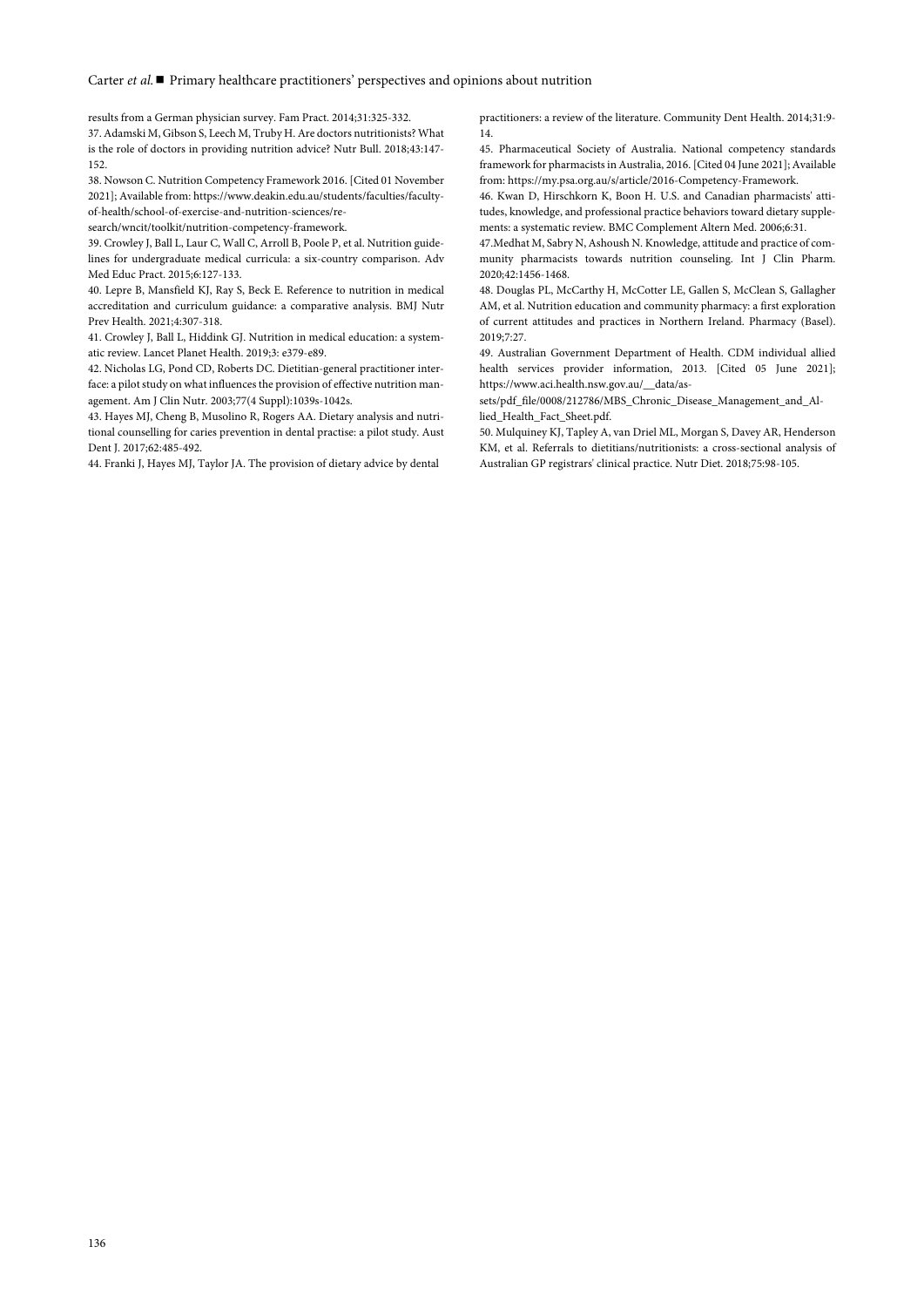results from a German physician survey. Fam Pract. 2014;31:325-332.

37.Adamski M, Gibson S, Leech M, Truby H. Are doctors nutritionists? What is the role of doctors in providing nutrition advice? Nutr Bull. 2018;43:147- 152.

38. Nowson C. Nutrition Competency Framework 2016. [Cited 01 November 2021]; Available from: https://www.deakin.edu.au/students/faculties/facultyof-health/school-of-exercise-and-nutrition-sciences/re-

search/wncit/toolkit/nutrition-competency-framework.

39. Crowley J, Ball L, Laur C, Wall C, Arroll B, Poole P, et al. Nutrition guidelines for undergraduate medical curricula: a six-country comparison. Adv Med Educ Pract. 2015;6:127-133.

40. Lepre B, Mansfield KJ, Ray S, Beck E. Reference to nutrition in medical accreditation and curriculum guidance: a comparative analysis. BMJ Nutr Prev Health. 2021;4:307-318.

41. Crowley J, Ball L, Hiddink GJ. Nutrition in medical education: a systematic review. Lancet Planet Health. 2019;3: e379-e89.

42. Nicholas LG, Pond CD, Roberts DC. Dietitian-general practitioner interface: a pilot study on what influences the provision of effective nutrition management. Am J Clin Nutr. 2003;77(4 Suppl):1039s-1042s.

43. Hayes MJ, Cheng B, Musolino R, Rogers AA. Dietary analysis and nutritional counselling for caries prevention in dental practise: a pilot study. Aust Dent J. 2017;62:485-492.

44. Franki J, Hayes MJ, Taylor JA. The provision of dietary advice by dental

practitioners: a review of the literature. Community Dent Health. 2014;31:9- 14.

45. Pharmaceutical Society of Australia. National competency standards framework for pharmacists in Australia, 2016. [Cited 04 June 2021]; Available from: https://my.psa.org.au/s/article/2016-Competency-Framework.

46. Kwan D, Hirschkorn K, Boon H. U.S. and Canadian pharmacists' attitudes, knowledge, and professional practice behaviors toward dietary supplements: a systematic review. BMC Complement Altern Med. 2006;6:31.

47.Medhat M, Sabry N, Ashoush N. Knowledge, attitude and practice of community pharmacists towards nutrition counseling. Int J Clin Pharm. 2020;42:1456-1468.

48. Douglas PL, McCarthy H, McCotter LE, Gallen S, McClean S, Gallagher AM, et al. Nutrition education and community pharmacy: a first exploration of current attitudes and practices in Northern Ireland. Pharmacy (Basel). 2019-7-27

49. Australian Government Department of Health. CDM individual allied health services provider information, 2013. [Cited 05 June 2021]; https://www.aci.health.nsw.gov.au/\_\_data/as-

sets/pdf\_file/0008/212786/MBS\_Chronic\_Disease\_Management\_and\_Allied\_Health\_Fact\_Sheet.pdf.

50. Mulquiney KJ, Tapley A, van Driel ML, Morgan S, Davey AR, Henderson KM, et al. Referrals to dietitians/nutritionists: a cross-sectional analysis of Australian GP registrars' clinical practice. Nutr Diet. 2018;75:98-105.